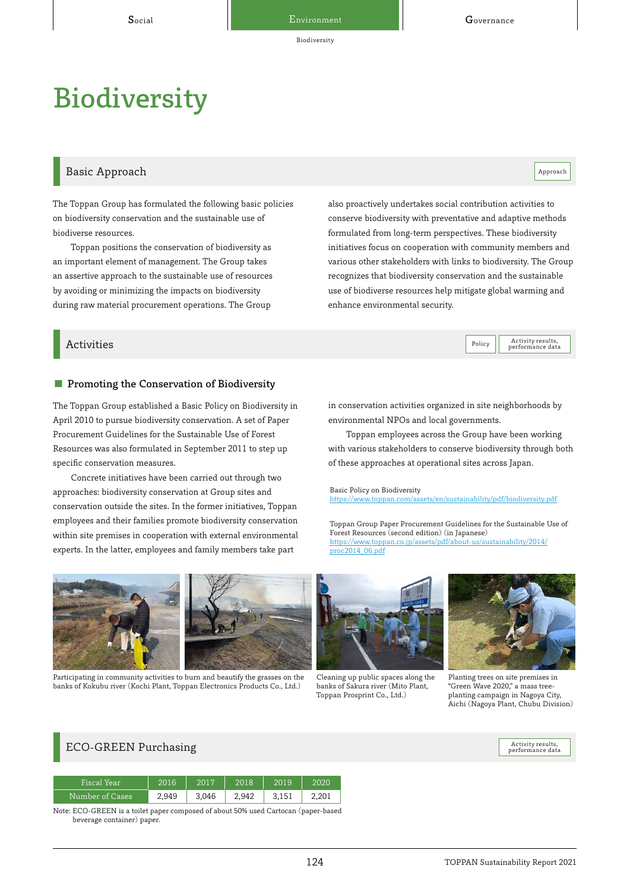Biodiversity

# **Biodiversity**

## Basic Approach and the contract of the contract of the contract of the contract of the contract of the contract of the contract of the contract of the contract of the contract of the contract of the contract of the contrac

The Toppan Group has formulated the following basic policies on biodiversity conservation and the sustainable use of biodiverse resources.

Toppan positions the conservation of biodiversity as an important element of management. The Group takes an assertive approach to the sustainable use of resources by avoiding or minimizing the impacts on biodiversity during raw material procurement operations. The Group

also proactively undertakes social contribution activities to conserve biodiversity with preventative and adaptive methods formulated from long-term perspectives. These biodiversity initiatives focus on cooperation with community members and various other stakeholders with links to biodiversity. The Group recognizes that biodiversity conservation and the sustainable use of biodiverse resources help mitigate global warming and enhance environmental security.

### Activities Activity results,

#### ■ Promoting the Conservation of Biodiversity

The Toppan Group established a Basic Policy on Biodiversity in April 2010 to pursue biodiversity conservation. A set of Paper Procurement Guidelines for the Sustainable Use of Forest Resources was also formulated in September 2011 to step up specific conservation measures.

Concrete initiatives have been carried out through two approaches: biodiversity conservation at Group sites and conservation outside the sites. In the former initiatives, Toppan employees and their families promote biodiversity conservation within site premises in cooperation with external environmental experts. In the latter, employees and family members take part

in conservation activities organized in site neighborhoods by environmental NPOs and local governments.

Toppan employees across the Group have been working with various stakeholders to conserve biodiversity through both of these approaches at operational sites across Japan.

Basic Policy on Biodiversity <https://www.toppan.com/assets/en/sustainability/pdf/biodiversity.pdf>

Toppan Group Paper Procurement Guidelines for the Sustainable Use of Forest Resources (second edition) (in Japanese) [https://www.toppan.co.jp/assets/pdf/about-us/sustainability/2014/](https://www.toppan.co.jp/assets/pdf/about-us/sustainability/2014/proc2014_06.pdf) proc2014\_06.pdf



Participating in community activities to burn and beautify the grasses on the banks of Kokubu river (Kochi Plant, Toppan Electronics Products Co., Ltd.)



Cleaning up public spaces along the banks of Sakura river (Mito Plant, Toppan Prosprint Co., Ltd.)



Policy **Activity results**,

Planting trees on site premises in "Green Wave 2020," a mass treeplanting campaign in Nagoya City, Aichi (Nagoya Plant, Chubu Division)

## ECO-GREEN Purchasing

| Fiscal Year     | 2016  | 2017  | 2018  | 2019  | 2020  |
|-----------------|-------|-------|-------|-------|-------|
| Number of Cases | 2.949 | 3.046 | 2.942 | 3.151 | 2.201 |

Note: ECO-GREEN is a toilet paper composed of about 50% used Cartocan (paper-based beverage container) paper.

Activity results,<br>performance data